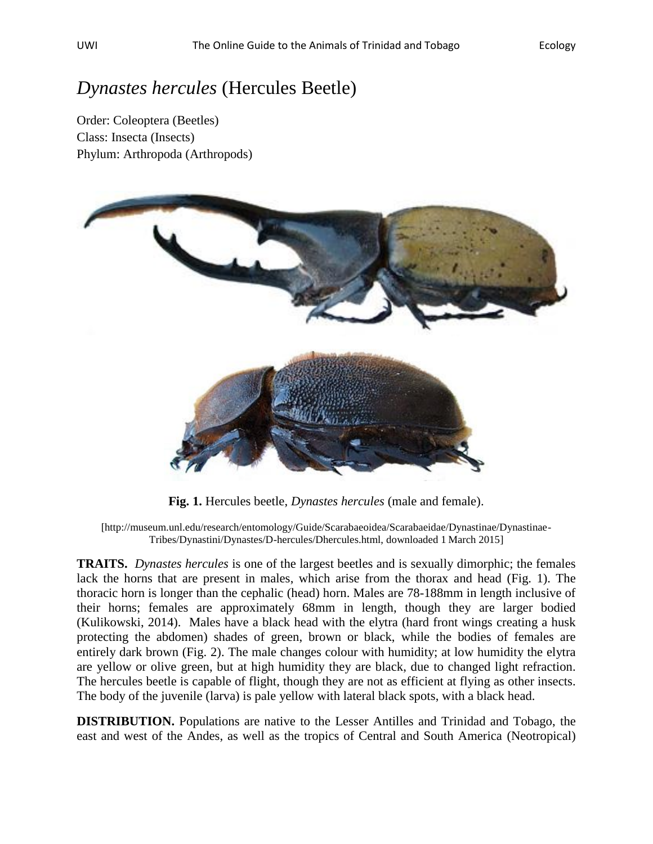## *Dynastes hercules* (Hercules Beetle)

Order: Coleoptera (Beetles) Class: Insecta (Insects) Phylum: Arthropoda (Arthropods)



**Fig. 1.** Hercules beetle, *Dynastes hercules* (male and female).

[http://museum.unl.edu/research/entomology/Guide/Scarabaeoidea/Scarabaeidae/Dynastinae/Dynastinae-Tribes/Dynastini/Dynastes/D-hercules/Dhercules.html, downloaded 1 March 2015]

**TRAITS.** *Dynastes hercules* is one of the largest beetles and is sexually dimorphic; the females lack the horns that are present in males, which arise from the thorax and head (Fig. 1). The thoracic horn is longer than the cephalic (head) horn. Males are 78-188mm in length inclusive of their horns; females are approximately 68mm in length, though they are larger bodied (Kulikowski, 2014). Males have a black head with the elytra (hard front wings creating a husk protecting the abdomen) shades of green, brown or black, while the bodies of females are entirely dark brown (Fig. 2). The male changes colour with humidity; at low humidity the elytra are yellow or olive green, but at high humidity they are black, due to changed light refraction. The hercules beetle is capable of flight, though they are not as efficient at flying as other insects. The body of the juvenile (larva) is pale yellow with lateral black spots, with a black head.

**DISTRIBUTION.** Populations are native to the Lesser Antilles and Trinidad and Tobago, the east and west of the Andes, as well as the tropics of Central and South America (Neotropical)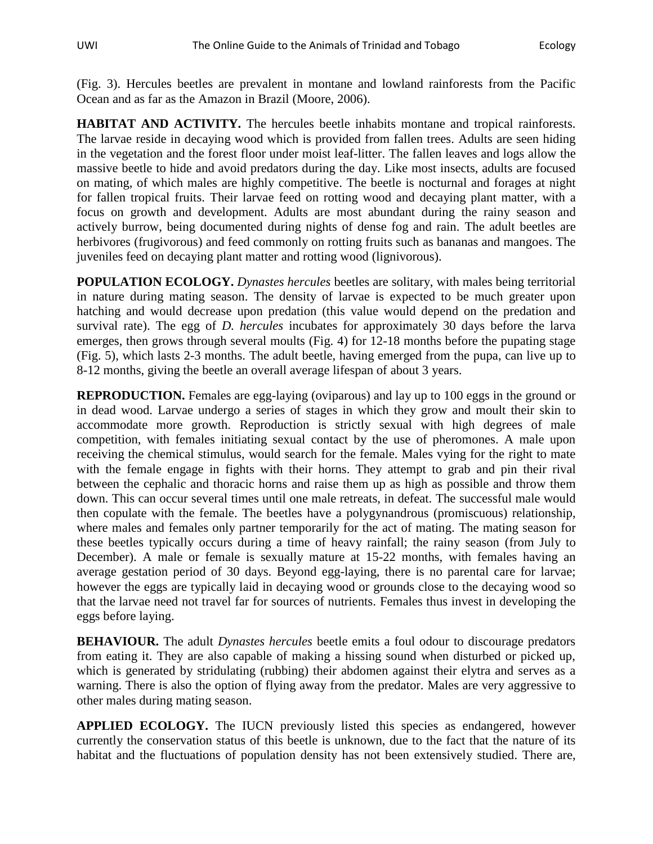(Fig. 3). Hercules beetles are prevalent in montane and lowland rainforests from the Pacific Ocean and as far as the Amazon in Brazil (Moore, 2006).

**HABITAT AND ACTIVITY.** The hercules beetle inhabits montane and tropical rainforests. The larvae reside in decaying wood which is provided from fallen trees. Adults are seen hiding in the vegetation and the forest floor under moist leaf-litter. The fallen leaves and logs allow the massive beetle to hide and avoid predators during the day. Like most insects, adults are focused on mating, of which males are highly competitive. The beetle is nocturnal and forages at night for fallen tropical fruits. Their larvae feed on rotting wood and decaying plant matter, with a focus on growth and development. Adults are most abundant during the rainy season and actively burrow, being documented during nights of dense fog and rain. The adult beetles are herbivores (frugivorous) and feed commonly on rotting fruits such as bananas and mangoes. The juveniles feed on decaying plant matter and rotting wood (lignivorous).

**POPULATION ECOLOGY.** *Dynastes hercules* beetles are solitary, with males being territorial in nature during mating season. The density of larvae is expected to be much greater upon hatching and would decrease upon predation (this value would depend on the predation and survival rate). The egg of *D. hercules* incubates for approximately 30 days before the larva emerges, then grows through several moults (Fig. 4) for 12-18 months before the pupating stage (Fig. 5), which lasts 2-3 months. The adult beetle, having emerged from the pupa, can live up to 8-12 months, giving the beetle an overall average lifespan of about 3 years.

**REPRODUCTION.** Females are egg-laying (oviparous) and lay up to 100 eggs in the ground or in dead wood. Larvae undergo a series of stages in which they grow and moult their skin to accommodate more growth. Reproduction is strictly sexual with high degrees of male competition, with females initiating sexual contact by the use of pheromones. A male upon receiving the chemical stimulus, would search for the female. Males vying for the right to mate with the female engage in fights with their horns. They attempt to grab and pin their rival between the cephalic and thoracic horns and raise them up as high as possible and throw them down. This can occur several times until one male retreats, in defeat. The successful male would then copulate with the female. The beetles have a polygynandrous (promiscuous) relationship, where males and females only partner temporarily for the act of mating. The mating season for these beetles typically occurs during a time of heavy rainfall; the rainy season (from July to December). A male or female is sexually mature at 15-22 months, with females having an average gestation period of 30 days. Beyond egg-laying, there is no parental care for larvae; however the eggs are typically laid in decaying wood or grounds close to the decaying wood so that the larvae need not travel far for sources of nutrients. Females thus invest in developing the eggs before laying.

**BEHAVIOUR.** The adult *Dynastes hercules* beetle emits a foul odour to discourage predators from eating it. They are also capable of making a hissing sound when disturbed or picked up, which is generated by stridulating (rubbing) their abdomen against their elytra and serves as a warning. There is also the option of flying away from the predator. Males are very aggressive to other males during mating season.

**APPLIED ECOLOGY.** The IUCN previously listed this species as endangered, however currently the conservation status of this beetle is unknown, due to the fact that the nature of its habitat and the fluctuations of population density has not been extensively studied. There are,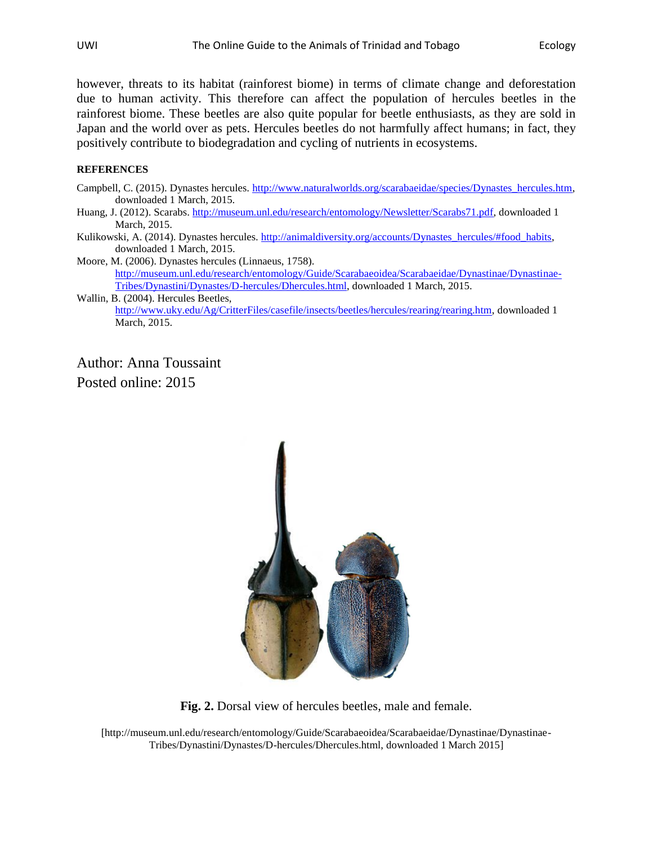however, threats to its habitat (rainforest biome) in terms of climate change and deforestation due to human activity. This therefore can affect the population of hercules beetles in the rainforest biome. These beetles are also quite popular for beetle enthusiasts, as they are sold in Japan and the world over as pets. Hercules beetles do not harmfully affect humans; in fact, they positively contribute to biodegradation and cycling of nutrients in ecosystems.

## **REFERENCES**

- Campbell, C. (2015). Dynastes hercules. [http://www.naturalworlds.org/scarabaeidae/species/Dynastes\\_hercules.htm,](http://www.naturalworlds.org/scarabaeidae/species/Dynastes_hercules.htm) downloaded 1 March, 2015.
- Huang, J. (2012). Scarabs. [http://museum.unl.edu/research/entomology/Newsletter/Scarabs71.pdf,](http://museum.unl.edu/research/entomology/Newsletter/Scarabs71.pdf) downloaded 1 March, 2015.
- Kulikowski, A. (2014). Dynastes hercules. [http://animaldiversity.org/accounts/Dynastes\\_hercules/#food\\_habits,](http://animaldiversity.org/accounts/Dynastes_hercules/#food_habits) downloaded 1 March, 2015.
- Moore, M. (2006). Dynastes hercules (Linnaeus, 1758). [http://museum.unl.edu/research/entomology/Guide/Scarabaeoidea/Scarabaeidae/Dynastinae/Dynastinae-](http://museum.unl.edu/research/entomology/Guide/Scarabaeoidea/Scarabaeidae/Dynastinae/Dynastinae-Tribes/Dynastini/Dynastes/D-hercules/Dhercules.html)[Tribes/Dynastini/Dynastes/D-hercules/Dhercules.html,](http://museum.unl.edu/research/entomology/Guide/Scarabaeoidea/Scarabaeidae/Dynastinae/Dynastinae-Tribes/Dynastini/Dynastes/D-hercules/Dhercules.html) downloaded 1 March, 2015.
- Wallin, B. (2004). Hercules Beetles, [http://www.uky.edu/Ag/CritterFiles/casefile/insects/beetles/hercules/rearing/rearing.htm,](http://www.uky.edu/Ag/CritterFiles/casefile/insects/beetles/hercules/rearing/rearing.htm) downloaded 1 March, 2015.

Author: Anna Toussaint Posted online: 2015



**Fig. 2.** Dorsal view of hercules beetles, male and female.

[http://museum.unl.edu/research/entomology/Guide/Scarabaeoidea/Scarabaeidae/Dynastinae/Dynastinae-Tribes/Dynastini/Dynastes/D-hercules/Dhercules.html, downloaded 1 March 2015]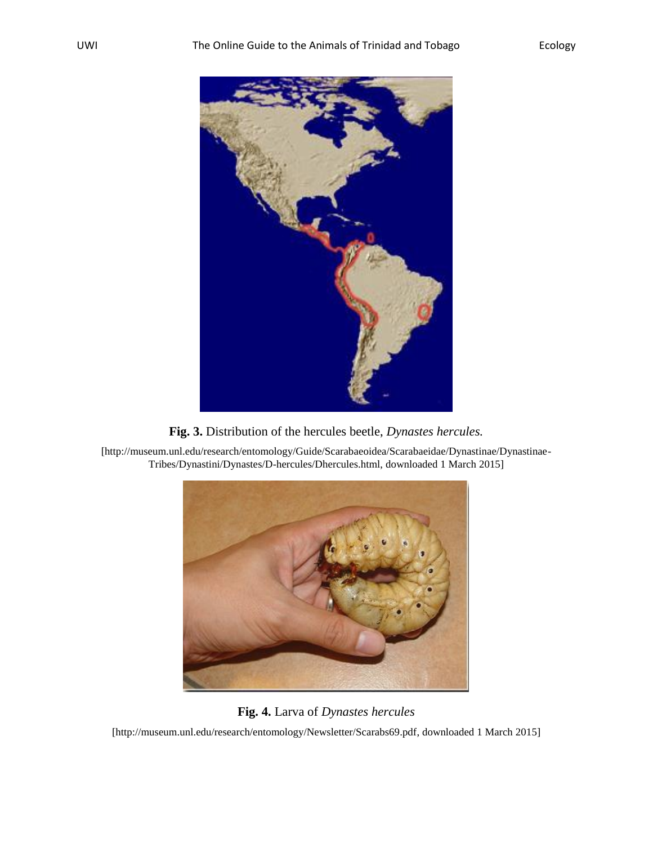



[http://museum.unl.edu/research/entomology/Guide/Scarabaeoidea/Scarabaeidae/Dynastinae/Dynastinae-Tribes/Dynastini/Dynastes/D-hercules/Dhercules.html, downloaded 1 March 2015]



**Fig. 4.** Larva of *Dynastes hercules*

[http://museum.unl.edu/research/entomology/Newsletter/Scarabs69.pdf, downloaded 1 March 2015]